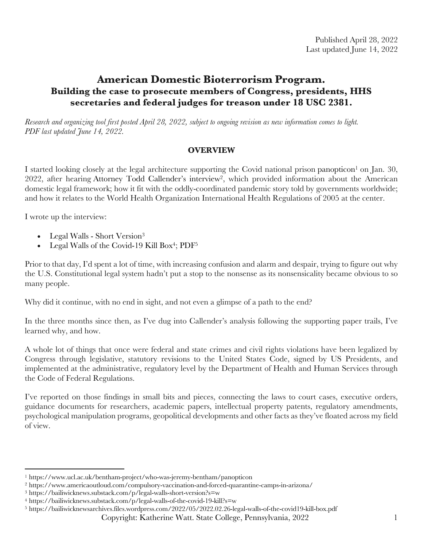# **American Domestic Bioterrorism Program. Building the case to prosecute members of Congress, presidents, HHS secretaries and federal judges for treason under 18 USC 2381.**

*Research and organizing tool first posted April 28, 2022, subject to ongoing revision as new information comes to light. PDF last updated June 14, 2022.*

## **OVERVIEW**

I started looking closely at the legal architecture supporting the Covid national prison panopticon<sup>1</sup> on Jan. 30, 2022, after hearing Attorney Todd Callender's interview2, which provided information about the American domestic legal framework; how it fit with the oddly-coordinated pandemic story told by governments worldwide; and how it relates to the World Health Organization International Health Regulations of 2005 at the center.

I wrote up the interview:

- Legal Walls Short Version<sup>3</sup>
- Legal Walls of the Covid-19 Kill Box<sup>4</sup>; PDF<sup>5</sup>

Prior to that day, I'd spent a lot of time, with increasing confusion and alarm and despair, trying to figure out why the U.S. Constitutional legal system hadn't put a stop to the nonsense as its nonsensicality became obvious to so many people.

Why did it continue, with no end in sight, and not even a glimpse of a path to the end?

In the three months since then, as I've dug into Callender's analysis following the supporting paper trails, I've learned why, and how.

A whole lot of things that once were federal and state crimes and civil rights violations have been legalized by Congress through legislative, statutory revisions to the United States Code, signed by US Presidents, and implemented at the administrative, regulatory level by the Department of Health and Human Services through the Code of Federal Regulations.

I've reported on those findings in small bits and pieces, connecting the laws to court cases, executive orders, guidance documents for researchers, academic papers, intellectual property patents, regulatory amendments, psychological manipulation programs, geopolitical developments and other facts as they've floated across my field of view.

<sup>1</sup> https://www.ucl.ac.uk/bentham-project/who-was-jeremy-bentham/panopticon

<sup>2</sup> https://www.americaoutloud.com/compulsory-vaccination-and-forced-quarantine-camps-in-arizona/

<sup>3</sup> https://bailiwicknews.substack.com/p/legal-walls-short-version?s=w

<sup>4</sup> https://bailiwicknews.substack.com/p/legal-walls-of-the-covid-19-kill?s=w

<sup>5</sup> https://bailiwicknewsarchives.files.wordpress.com/2022/05/2022.02.26-legal-walls-of-the-covid19-kill-box.pdf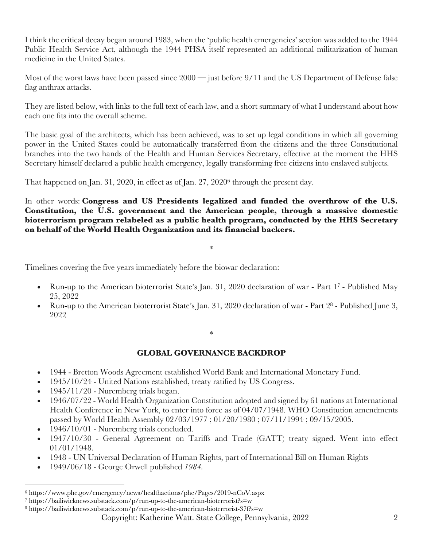I think the critical decay began around 1983, when the 'public health emergencies' section was added to the 1944 Public Health Service Act, although the 1944 PHSA itself represented an additional militarization of human medicine in the United States.

Most of the worst laws have been passed since 2000 — just before 9/11 and the US Department of Defense false flag anthrax attacks.

They are listed below, with links to the full text of each law, and a short summary of what I understand about how each one fits into the overall scheme.

The basic goal of the architects, which has been achieved, was to set up legal conditions in which all governing power in the United States could be automatically transferred from the citizens and the three Constitutional branches into the two hands of the Health and Human Services Secretary, effective at the moment the HHS Secretary himself declared a public health emergency, legally transforming free citizens into enslaved subjects.

That happened on Jan. 31, 2020, in effect as of Jan. 27, 20206 through the present day.

In other words: **Congress and US Presidents legalized and funded the overthrow of the U.S. Constitution, the U.S. government and the American people, through a massive domestic bioterrorism program relabeled as a public health program, conducted by the HHS Secretary on behalf of the World Health Organization and its financial backers.**

\*

Timelines covering the five years immediately before the biowar declaration:

- Run-up to the American bioterrorist State's Jan. 31, 2020 declaration of war Part 1<sup>7</sup> Published May 25, 2022
- Run-up to the American bioterrorist State's Jan. 31, 2020 declaration of war Part 28 Published June 3, 2022

\*

# **GLOBAL GOVERNANCE BACKDROP**

- 1944 Bretton Woods Agreement established World Bank and International Monetary Fund.
- 1945/10/24 United Nations established, treaty ratified by US Congress.
- 1945/11/20 Nuremberg trials began.
- 1946/07/22 World Health Organization Constitution adopted and signed by 61 nations at International Health Conference in New York, to enter into force as of 04/07/1948. WHO Constitution amendments passed by World Health Assembly 02/03/1977 ; 01/20/1980 ; 07/11/1994 ; 09/15/2005.
- 1946/10/01 Nuremberg trials concluded.
- 1947/10/30 General Agreement on Tariffs and Trade (GATT) treaty signed. Went into effect 01/01/1948.
- 1948 UN Universal Declaration of Human Rights, part of International Bill on Human Rights
- 1949/06/18 George Orwell published *1984*.

<sup>6</sup> https://www.phe.gov/emergency/news/healthactions/phe/Pages/2019-nCoV.aspx

<sup>7</sup> https://bailiwicknews.substack.com/p/run-up-to-the-american-bioterrorist?s=w

<sup>8</sup> https://bailiwicknews.substack.com/p/run-up-to-the-american-bioterrorist-37f?s=w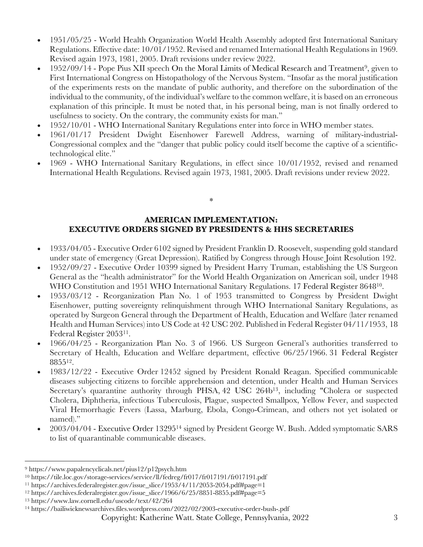- 1951/05/25 World Health Organization World Health Assembly adopted first International Sanitary Regulations. Effective date: 10/01/1952. Revised and renamed International Health Regulations in 1969. Revised again 1973, 1981, 2005. Draft revisions under review 2022.
- 1952/09/14 Pope Pius XII speech On the Moral Limits of Medical Research and Treatment9, given to First International Congress on Histopathology of the Nervous System. "Insofar as the moral justification of the experiments rests on the mandate of public authority, and therefore on the subordination of the individual to the community, of the individual's welfare to the common welfare, it is based on an erroneous explanation of this principle. It must be noted that, in his personal being, man is not finally ordered to usefulness to society. On the contrary, the community exists for man."
- 1952/10/01 WHO International Sanitary Regulations enter into force in WHO member states.
- 1961/01/17 President Dwight Eisenhower Farewell Address, warning of military-industrial-Congressional complex and the "danger that public policy could itself become the captive of a scientifictechnological elite."
- 1969 WHO International Sanitary Regulations, in effect since 10/01/1952, revised and renamed International Health Regulations. Revised again 1973, 1981, 2005. Draft revisions under review 2022.

# **AMERICAN IMPLEMENTATION: EXECUTIVE ORDERS SIGNED BY PRESIDENTS & HHS SECRETARIES**

\*

- 1933/04/05 Executive Order 6102 signed by President Franklin D. Roosevelt, suspending gold standard under state of emergency (Great Depression). Ratified by Congress through House Joint Resolution 192.
- 1952/09/27 Executive Order 10399 signed by President Harry Truman, establishing the US Surgeon General as the "health administrator" for the World Health Organization on American soil, under 1948 WHO Constitution and 1951 WHO International Sanitary Regulations. 17 Federal Register 8648<sup>10</sup>.
- 1953/03/12 Reorganization Plan No. 1 of 1953 transmitted to Congress by President Dwight Eisenhower, putting sovereignty relinquishment through WHO International Sanitary Regulations, as operated by Surgeon General through the Department of Health, Education and Welfare (later renamed Health and Human Services) into US Code at 42 USC 202. Published in Federal Register 04/11/1953, 18 Federal Register 205311.
- 1966/04/25 Reorganization Plan No. 3 of 1966. US Surgeon General's authorities transferred to Secretary of Health, Education and Welfare department, effective 06/25/1966. 31 Federal Register 885512.
- 1983/12/22 Executive Order 12452 signed by President Ronald Reagan. Specified communicable diseases subjecting citizens to forcible apprehension and detention, under Health and Human Services Secretary's quarantine authority through PHSA,  $42$  USC  $264b^{13}$ , including "Cholera or suspected Cholera, Diphtheria, infectious Tuberculosis, Plague, suspected Smallpox, Yellow Fever, and suspected Viral Hemorrhagic Fevers (Lassa, Marburg, Ebola, Congo-Crimean, and others not yet isolated or named)."
- 2003/04/04 Executive Order 1329514 signed by President George W. Bush. Added symptomatic SARS to list of quarantinable communicable diseases.

<sup>9</sup> https://www.papalencyclicals.net/pius12/p12psych.htm

<sup>10</sup> https://tile.loc.gov/storage-services/service/ll/fedreg/fr017/fr017191/fr017191.pdf

<sup>11</sup> https://archives.federalregister.gov/issue\_slice/1953/4/11/2053-2054.pdf#page=1

<sup>12</sup> https://archives.federalregister.gov/issue\_slice/1966/6/25/8851-8855.pdf#page=5

<sup>13</sup> https://www.law.cornell.edu/uscode/text/42/264

<sup>14</sup> https://bailiwicknewsarchives.files.wordpress.com/2022/02/2003-executive-order-bush-.pdf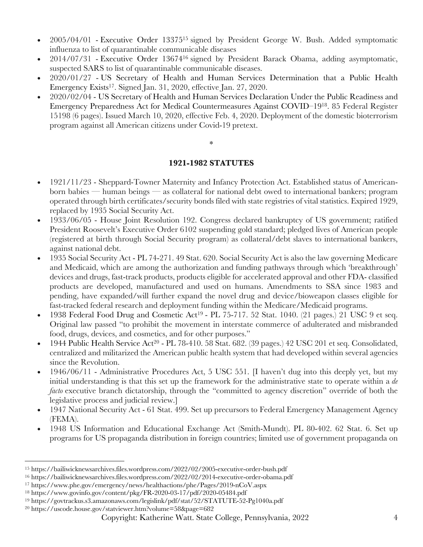- 2005/04/01 Executive Order 13375<sup>15</sup> signed by President George W. Bush. Added symptomatic influenza to list of quarantinable communicable diseases
- 2014/07/31 Executive Order 1367416 signed by President Barack Obama, adding asymptomatic, suspected SARS to list of quarantinable communicable diseases.
- 2020/01/27 US Secretary of Health and Human Services Determination that a Public Health Emergency Exists17. Signed Jan. 31, 2020, effective Jan. 27, 2020.
- 2020/02/04 US Secretary of Health and Human Services Declaration Under the Public Readiness and Emergency Preparedness Act for Medical Countermeasures Against COVID–1918. 85 Federal Register 15198 (6 pages). Issued March 10, 2020, effective Feb. 4, 2020. Deployment of the domestic bioterrorism program against all American citizens under Covid-19 pretext.

\*

## **1921-1982 STATUTES**

- 1921/11/23 Sheppard-Towner Maternity and Infancy Protection Act. Established status of Americanborn babies — human beings — as collateral for national debt owed to international bankers; program operated through birth certificates/security bonds filed with state registries of vital statistics. Expired 1929, replaced by 1935 Social Security Act.
- 1933/06/05 House Joint Resolution 192. Congress declared bankruptcy of US government; ratified President Roosevelt's Executive Order 6102 suspending gold standard; pledged lives of American people (registered at birth through Social Security program) as collateral/debt slaves to international bankers, against national debt.
- 1935 Social Security Act PL 74-271. 49 Stat. 620. Social Security Act is also the law governing Medicare and Medicaid, which are among the authorization and funding pathways through which 'breakthrough' devices and drugs, fast-track products, products eligible for accelerated approval and other FDA- classified products are developed, manufactured and used on humans. Amendments to SSA since 1983 and pending, have expanded/will further expand the novel drug and device/bioweapon classes eligible for fast-tracked federal research and deployment funding within the Medicare/Medicaid programs.
- 1938 Federal Food Drug and Cosmetic Act19 PL 75-717. 52 Stat. 1040. (21 pages.) 21 USC 9 et seq. Original law passed "to prohibit the movement in interstate commerce of adulterated and misbranded food, drugs, devices, and cosmetics, and for other purposes."
- 1944 Public Health Service Act20 PL 78-410. 58 Stat. 682. (39 pages.) 42 USC 201 et seq. Consolidated, centralized and militarized the American public health system that had developed within several agencies since the Revolution.
- 1946/06/11 Administrative Procedures Act, 5 USC 551. [I haven't dug into this deeply yet, but my initial understanding is that this set up the framework for the administrative state to operate within a *de facto* executive branch dictatorship, through the "committed to agency discretion" override of both the legislative process and judicial review.]
- 1947 National Security Act 61 Stat. 499. Set up precursors to Federal Emergency Management Agency (FEMA).
- 1948 US Information and Educational Exchange Act (Smith-Mundt). PL 80-402. 62 Stat. 6. Set up programs for US propaganda distribution in foreign countries; limited use of government propaganda on

<sup>15</sup> https://bailiwicknewsarchives.files.wordpress.com/2022/02/2005-executive-order-bush.pdf

<sup>16</sup> https://bailiwicknewsarchives.files.wordpress.com/2022/02/2014-executive-order-obama.pdf

<sup>17</sup> https://www.phe.gov/emergency/news/healthactions/phe/Pages/2019-nCoV.aspx

<sup>18</sup> https://www.govinfo.gov/content/pkg/FR-2020-03-17/pdf/2020-05484.pdf

<sup>19</sup> https://govtrackus.s3.amazonaws.com/legislink/pdf/stat/52/STATUTE-52-Pg1040a.pdf

<sup>20</sup> https://uscode.house.gov/statviewer.htm?volume=58&page=682

Copyright: Katherine Watt. State College, Pennsylvania, 2022 4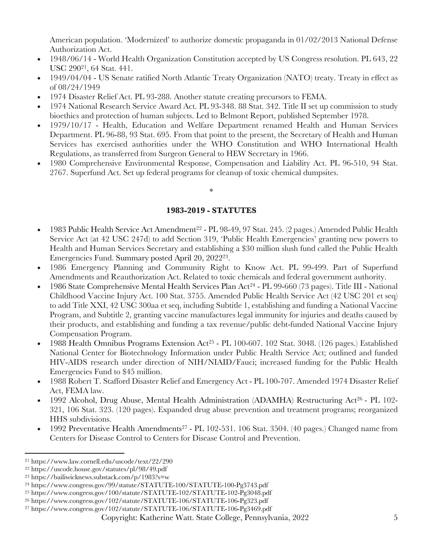American population. 'Modernized' to authorize domestic propaganda in 01/02/2013 National Defense Authorization Act.

- 1948/06/14 World Health Organization Constitution accepted by US Congress resolution. PL 643, 22 USC 29021, 64 Stat. 441.
- 1949/04/04 US Senate ratified North Atlantic Treaty Organization (NATO) treaty. Treaty in effect as of 08/24/1949
- 1974 Disaster Relief Act. PL 93-288. Another statute creating precursors to FEMA.
- 1974 National Research Service Award Act. PL 93-348. 88 Stat. 342. Title II set up commission to study bioethics and protection of human subjects. Led to Belmont Report, published September 1978.
- 1979/10/17 Health, Education and Welfare Department renamed Health and Human Services Department. PL 96-88, 93 Stat. 695. From that point to the present, the Secretary of Health and Human Services has exercised authorities under the WHO Constitution and WHO International Health Regulations, as transferred from Surgeon General to HEW Secretary in 1966.
- 1980 Comprehensive Environmental Response, Compensation and Liability Act. PL 96-510, 94 Stat. 2767. Superfund Act. Set up federal programs for cleanup of toxic chemical dumpsites.

### \*

### **1983-2019 - STATUTES**

- 1983 Public Health Service Act Amendment22 PL 98-49, 97 Stat. 245. (2 pages.) Amended Public Health Service Act (at 42 USC 247d) to add Section 319, 'Public Health Emergencies' granting new powers to Health and Human Services Secretary and establishing a \$30 million slush fund called the Public Health Emergencies Fund. Summary posted April 20, 202223.
- 1986 Emergency Planning and Community Right to Know Act. PL 99-499. Part of Superfund Amendments and Reauthorization Act. Related to toxic chemicals and federal government authority.
- 1986 State Comprehensive Mental Health Services Plan Act<sup>24</sup> PL 99-660 (73 pages). Title III National Childhood Vaccine Injury Act. 100 Stat. 3755. Amended Public Health Service Act (42 USC 201 et seq) to add Title XXI, 42 USC 300aa et seq, including Subtitle 1, establishing and funding a National Vaccine Program, and Subtitle 2, granting vaccine manufactures legal immunity for injuries and deaths caused by their products, and establishing and funding a tax revenue/public debt-funded National Vaccine Injury Compensation Program.
- 1988 Health Omnibus Programs Extension Act25 PL 100-607. 102 Stat. 3048. (126 pages.) Established National Center for Biotechnology Information under Public Health Service Act; outlined and funded HIV-AIDS research under direction of NIH/NIAID/Fauci; increased funding for the Public Health Emergencies Fund to \$45 million.
- 1988 Robert T. Stafford Disaster Relief and Emergency Act PL 100-707. Amended 1974 Disaster Relief Act, FEMA law.
- 1992 Alcohol, Drug Abuse, Mental Health Administration (ADAMHA) Restructuring Act<sup>26</sup> PL 102-321, 106 Stat. 323. (120 pages). Expanded drug abuse prevention and treatment programs; reorganized HHS subdivisions.
- 1992 Preventative Health Amendments27 PL 102-531. 106 Stat. 3504. (40 pages.) Changed name from Centers for Disease Control to Centers for Disease Control and Prevention.

<sup>21</sup> https://www.law.cornell.edu/uscode/text/22/290

<sup>22</sup> https://uscode.house.gov/statutes/pl/98/49.pdf

<sup>23</sup> https://bailiwicknews.substack.com/p/1983?s=w

<sup>24</sup> https://www.congress.gov/99/statute/STATUTE-100/STATUTE-100-Pg3743.pdf

<sup>25</sup> https://www.congress.gov/100/statute/STATUTE-102/STATUTE-102-Pg3048.pdf

<sup>26</sup> https://www.congress.gov/102/statute/STATUTE-106/STATUTE-106-Pg323.pdf

<sup>27</sup> https://www.congress.gov/102/statute/STATUTE-106/STATUTE-106-Pg3469.pdf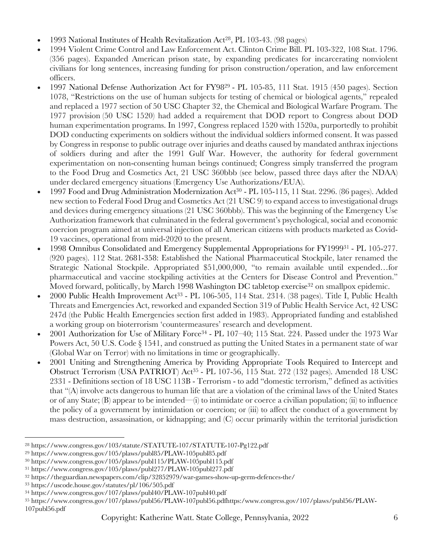- 1993 National Institutes of Health Revitalization Act<sup>28</sup>, PL 103-43. (98 pages)
- 1994 Violent Crime Control and Law Enforcement Act. Clinton Crime Bill. PL 103-322, 108 Stat. 1796. (356 pages). Expanded American prison state, by expanding predicates for incarcerating nonviolent civilians for long sentences, increasing funding for prison construction/operation, and law enforcement officers.
- 1997 National Defense Authorization Act for FY9829 PL 105-85, 111 Stat. 1915 (450 pages). Section 1078, "Restrictions on the use of human subjects for testing of chemical or biological agents," repealed and replaced a 1977 section of 50 USC Chapter 32, the Chemical and Biological Warfare Program. The 1977 provision (50 USC 1520) had added a requirement that DOD report to Congress about DOD human experimentation programs. In 1997, Congress replaced 1520 with 1520a, purportedly to prohibit DOD conducting experiments on soldiers without the individual soldiers informed consent. It was passed by Congress in response to public outrage over injuries and deaths caused by mandated anthrax injections of soldiers during and after the 1991 Gulf War. However, the authority for federal government experimentation on non-consenting human beings continued; Congress simply transferred the program to the Food Drug and Cosmetics Act, 21 USC 360bbb (see below, passed three days after the NDAA) under declared emergency situations (Emergency Use Authorizations/EUA).
- 1997 Food and Drug Administration Modernization Act30 PL 105-115, 11 Stat. 2296. (86 pages). Added new section to Federal Food Drug and Cosmetics Act (21 USC 9) to expand access to investigational drugs and devices during emergency situations (21 USC 360bbb). This was the beginning of the Emergency Use Authorization framework that culminated in the federal government's psychological, social and economic coercion program aimed at universal injection of all American citizens with products marketed as Covid-19 vaccines, operational from mid-2020 to the present.
- 1998 Omnibus Consolidated and Emergency Supplemental Appropriations for FY199931 PL 105-277. (920 pages). 112 Stat. 2681-358: Established the National Pharmaceutical Stockpile, later renamed the Strategic National Stockpile. Appropriated \$51,000,000, "to remain available until expended…for pharmaceutical and vaccine stockpiling activities at the Centers for Disease Control and Prevention." Moved forward, politically, by March 1998 Washington DC tabletop exercise<sup>32</sup> on smallpox epidemic.
- 2000 Public Health Improvement Act<sup>33</sup> PL 106-505, 114 Stat. 2314. (38 pages). Title I, Public Health Threats and Emergencies Act, reworked and expanded Section 319 of Public Health Service Act, 42 USC 247d (the Public Health Emergencies section first added in 1983). Appropriated funding and established a working group on bioterrorism 'countermeasures' research and development.
- 2001 Authorization for Use of Military Force34 PL 107–40; 115 Stat. 224. Passed under the 1973 War Powers Act, 50 U.S. Code § 1541, and construed as putting the United States in a permanent state of war (Global War on Terror) with no limitations in time or geographically.
- 2001 Uniting and Strengthening America by Providing Appropriate Tools Required to Intercept and Obstruct Terrorism (USA PATRIOT) Act<sup>35</sup> - PL 107-56, 115 Stat. 272 (132 pages). Amended 18 USC 2331 - Definitions section of 18 USC 113B - Terrorism - to add "domestic terrorism," defined as activities that "(A) involve acts dangerous to human life that are a violation of the criminal laws of the United States or of any State; (B) appear to be intended—(i) to intimidate or coerce a civilian population; (ii) to influence the policy of a government by intimidation or coercion; or (iii) to affect the conduct of a government by mass destruction, assassination, or kidnapping; and (C) occur primarily within the territorial jurisdiction

<sup>28</sup> https://www.congress.gov/103/statute/STATUTE-107/STATUTE-107-Pg122.pdf

<sup>29</sup> https://www.congress.gov/105/plaws/publ85/PLAW-105publ85.pdf

<sup>30</sup> https://www.congress.gov/105/plaws/publ115/PLAW-105publ115.pdf

<sup>31</sup> https://www.congress.gov/105/plaws/publ277/PLAW-105publ277.pdf

<sup>32</sup> https://theguardian.newspapers.com/clip/32852979/war-games-show-up-germ-defences-the/

<sup>33</sup> https://uscode.house.gov/statutes/pl/106/505.pdf

<sup>34</sup> https://www.congress.gov/107/plaws/publ40/PLAW-107publ40.pdf

<sup>35</sup> https://www.congress.gov/107/plaws/publ56/PLAW-107publ56.pdfhttps:/www.congress.gov/107/plaws/publ56/PLAW-107publ56.pdf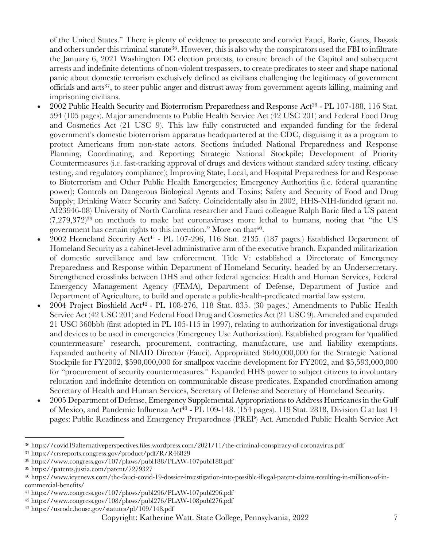of the United States." There is plenty of evidence to prosecute and convict Fauci, Baric, Gates, Daszak and others under this criminal statute<sup>36</sup>. However, this is also why the conspirators used the FBI to infiltrate the January 6, 2021 Washington DC election protests, to ensure breach of the Capitol and subsequent arrests and indefinite detentions of non-violent trespassers, to create predicates to steer and shape national panic about domestic terrorism exclusively defined as civilians challenging the legitimacy of government officials and acts37, to steer public anger and distrust away from government agents killing, maiming and imprisoning civilians.

- 2002 Public Health Security and Bioterrorism Preparedness and Response Act38 PL 107-188, 116 Stat. 594 (105 pages). Major amendments to Public Health Service Act (42 USC 201) and Federal Food Drug and Cosmetics Act (21 USC 9). This law fully constructed and expanded funding for the federal government's domestic bioterrorism apparatus headquartered at the CDC, disguising it as a program to protect Americans from non-state actors. Sections included National Preparedness and Response Planning, Coordinating, and Reporting; Strategic National Stockpile; Development of Priority Countermeasures (i.e. fast-tracking approval of drugs and devices without standard safety testing, efficacy testing, and regulatory compliance); Improving State, Local, and Hospital Preparedness for and Response to Bioterrorism and Other Public Health Emergencies; Emergency Authorities (i.e. federal quarantine power); Controls on Dangerous Biological Agents and Toxins; Safety and Security of Food and Drug Supply; Drinking Water Security and Safety. Coincidentally also in 2002, HHS-NIH-funded (grant no. AI23946-08) University of North Carolina researcher and Fauci colleague Ralph Baric filed a US patent  $(7,279,372)^{39}$  on methods to make bat coronaviruses more lethal to humans, noting that "the US government has certain rights to this invention." More on that<sup>40</sup>.
- 2002 Homeland Security Act41 PL 107-296, 116 Stat. 2135. (187 pages.) Established Department of Homeland Security as a cabinet-level administrative arm of the executive branch. Expanded militarization of domestic surveillance and law enforcement. Title V: established a Directorate of Emergency Preparedness and Response within Department of Homeland Security, headed by an Undersecretary. Strengthened crosslinks between DHS and other federal agencies: Health and Human Services, Federal Emergency Management Agency (FEMA), Department of Defense, Department of Justice and Department of Agriculture, to build and operate a public-health-predicated martial law system.
- 2004 Project Bioshield Act<sup>42</sup> PL 108-276, 118 Stat. 835. (30 pages.) Amendments to Public Health Service Act (42 USC 201) and Federal Food Drug and Cosmetics Act (21 USC 9). Amended and expanded 21 USC 360bbb (first adopted in PL 105-115 in 1997), relating to authorization for investigational drugs and devices to be used in emergencies (Emergency Use Authorization). Established program for 'qualified countermeasure' research, procurement, contracting, manufacture, use and liability exemptions. Expanded authority of NIAID Director (Fauci). Appropriated \$640,000,000 for the Strategic National Stockpile for FY2002, \$590,000,000 for smallpox vaccine development for FY2002, and \$5,593,000,000 for "procurement of security countermeasures." Expanded HHS power to subject citizens to involuntary relocation and indefinite detention on communicable disease predicates. Expanded coordination among Secretary of Health and Human Services, Secretary of Defense and Secretary of Homeland Security.
- 2005 Department of Defense, Emergency Supplemental Appropriations to Address Hurricanes in the Gulf of Mexico, and Pandemic Influenza Act<sup>43</sup> - PL 109-148. (154 pages). 119 Stat. 2818, Division C at last 14 pages: Public Readiness and Emergency Preparedness (PREP) Act. Amended Public Health Service Act

<sup>36</sup> https://covid19alternativeperspectives.files.wordpress.com/2021/11/the-criminal-conspiracy-of-coronavirus.pdf <sup>37</sup> https://crsreports.congress.gov/product/pdf/R/R46829

<sup>38</sup> https://www.congress.gov/107/plaws/publ188/PLAW-107publ188.pdf

<sup>39</sup> https://patents.justia.com/patent/7279327

<sup>40</sup> https://www.ieyenews.com/the-fauci-covid-19-dossier-investigation-into-possible-illegal-patent-claims-resulting-in-millions-of-incommercial-benefits/

<sup>41</sup> https://www.congress.gov/107/plaws/publ296/PLAW-107publ296.pdf

<sup>42</sup> https://www.congress.gov/108/plaws/publ276/PLAW-108publ276.pdf

<sup>43</sup> https://uscode.house.gov/statutes/pl/109/148.pdf

Copyright: Katherine Watt. State College, Pennsylvania, 2022 7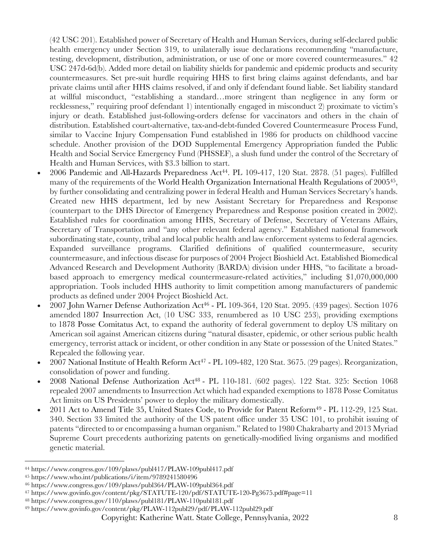(42 USC 201). Established power of Secretary of Health and Human Services, during self-declared public health emergency under Section 319, to unilaterally issue declarations recommending "manufacture, testing, development, distribution, administration, or use of one or more covered countermeasures." 42 USC 247d-6d(b). Added more detail on liability shields for pandemic and epidemic products and security countermeasures. Set pre-suit hurdle requiring HHS to first bring claims against defendants, and bar private claims until after HHS claims resolved, if and only if defendant found liable. Set liability standard at willful misconduct, "establishing a standard…more stringent than negligence in any form or recklessness," requiring proof defendant 1) intentionally engaged in misconduct 2) proximate to victim's injury or death. Established just-following-orders defense for vaccinators and others in the chain of distribution. Established court-alternative, tax-and-debt-funded Covered Countermeasure Process Fund, similar to Vaccine Injury Compensation Fund established in 1986 for products on childhood vaccine schedule. Another provision of the DOD Supplemental Emergency Appropriation funded the Public Health and Social Service Emergency Fund (PHSSEF), a slush fund under the control of the Secretary of Health and Human Services, with \$3.3 billion to start.

- 2006 Pandemic and All-Hazards Preparedness Act44. PL 109-417, 120 Stat. 2878. (51 pages). Fulfilled many of the requirements of the World Health Organization International Health Regulations of 200545, by further consolidating and centralizing power in federal Health and Human Services Secretary's hands. Created new HHS department, led by new Assistant Secretary for Preparedness and Response (counterpart to the DHS Director of Emergency Preparedness and Response position created in 2002). Established rules for coordination among HHS, Secretary of Defense, Secretary of Veterans Affairs, Secretary of Transportation and "any other relevant federal agency." Established national framework subordinating state, county, tribal and local public health and law enforcement systems to federal agencies. Expanded surveillance programs. Clarified definitions of qualified countermeasure, security countermeasure, and infectious disease for purposes of 2004 Project Bioshield Act. Established Biomedical Advanced Research and Development Authority (BARDA) division under HHS, "to facilitate a broadbased approach to emergency medical countermeasure-related activities," including \$1,070,000,000 appropriation. Tools included HHS authority to limit competition among manufacturers of pandemic products as defined under 2004 Project Bioshield Act.
- 2007 John Warner Defense Authorization Act46 PL 109-364, 120 Stat. 2095. (439 pages). Section 1076 amended 1807 Insurrection Act, (10 USC 333, renumbered as 10 USC 253), providing exemptions to 1878 Posse Comitatus Act, to expand the authority of federal government to deploy US military on American soil against American citizens during "natural disaster, epidemic, or other serious public health emergency, terrorist attack or incident, or other condition in any State or possession of the United States." Repealed the following year.
- 2007 National Institute of Health Reform Act<sup>47</sup> PL 109-482, 120 Stat. 3675. (29 pages). Reorganization, consolidation of power and funding.
- 2008 National Defense Authorization Act48 PL 110-181. (602 pages). 122 Stat. 325: Section 1068 repealed 2007 amendments to Insurrection Act which had expanded exemptions to 1878 Posse Comitatus Act limits on US Presidents' power to deploy the military domestically.
- 2011 Act to Amend Title 35, United States Code, to Provide for Patent Reform<sup>49</sup> PL 112-29, 125 Stat. 340. Section 33 limited the authority of the US patent office under 35 USC 101, to prohibit issuing of patents "directed to or encompassing a human organism." Related to 1980 Chakrabarty and 2013 Myriad Supreme Court precedents authorizing patents on genetically-modified living organisms and modified genetic material.

<sup>44</sup> https://www.congress.gov/109/plaws/publ417/PLAW-109publ417.pdf

<sup>45</sup> https://www.who.int/publications/i/item/9789241580496

<sup>46</sup> https://www.congress.gov/109/plaws/publ364/PLAW-109publ364.pdf

<sup>47</sup> https://www.govinfo.gov/content/pkg/STATUTE-120/pdf/STATUTE-120-Pg3675.pdf#page=11

<sup>48</sup> https://www.congress.gov/110/plaws/publ181/PLAW-110publ181.pdf

<sup>49</sup> https://www.govinfo.gov/content/pkg/PLAW-112publ29/pdf/PLAW-112publ29.pdf

Copyright: Katherine Watt. State College, Pennsylvania, 2022 8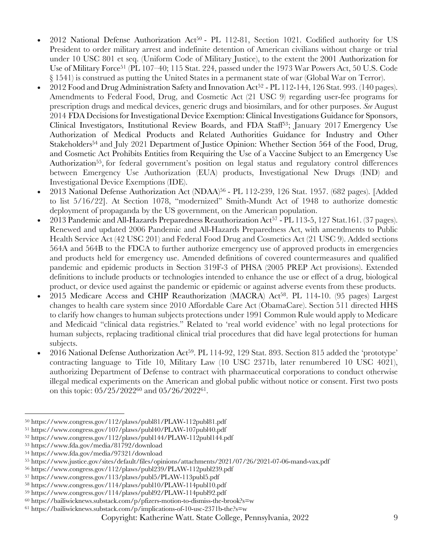- 2012 National Defense Authorization Act50 PL 112-81, Section 1021. Codified authority for US President to order military arrest and indefinite detention of American civilians without charge or trial under 10 USC 801 et seq. (Uniform Code of Military Justice), to the extent the 2001 Authorization for Use of Military Force<sup>51</sup> (PL 107-40; 115 Stat. 224, passed under the 1973 War Powers Act, 50 U.S. Code § 1541) is construed as putting the United States in a permanent state of war (Global War on Terror).
- 2012 Food and Drug Administration Safety and Innovation Act52 PL 112-144, 126 Stat. 993. (140 pages). Amendments to Federal Food, Drug, and Cosmetic Act (21 USC 9) regarding user-fee programs for prescription drugs and medical devices, generic drugs and biosimilars, and for other purposes. *See* August 2014 FDA Decisions for Investigational Device Exemption: Clinical Investigations Guidance for Sponsors, Clinical Investigators, Institutional Review Boards, and FDA Staff<sup>53</sup>; January 2017 Emergency Use Authorization of Medical Products and Related Authorities Guidance for Industry and Other Stakeholders<sup>54</sup> and July 2021 Department of Justice Opinion: Whether Section 564 of the Food, Drug, and Cosmetic Act Prohibits Entities from Requiring the Use of a Vaccine Subject to an Emergency Use Authorization<sup>55</sup>, for federal government's position on legal status and regulatory control differences between Emergency Use Authorization (EUA) products, Investigational New Drugs (IND) and Investigational Device Exemptions (IDE).
- 2013 National Defense Authorization Act (NDAA)56 PL 112-239, 126 Stat. 1957. (682 pages). [Added to list 5/16/22]. At Section 1078, "modernized" Smith-Mundt Act of 1948 to authorize domestic deployment of propaganda by the US government, on the American population.
- 2013 Pandemic and All-Hazards Preparedness Reauthorization Act<sup>57</sup> PL 113-5, 127 Stat.161. (37 pages). Renewed and updated 2006 Pandemic and All-Hazards Preparedness Act, with amendments to Public Health Service Act (42 USC 201) and Federal Food Drug and Cosmetics Act (21 USC 9). Added sections 564A and 564B to the FDCA to further authorize emergency use of approved products in emergencies and products held for emergency use. Amended definitions of covered countermeasures and qualified pandemic and epidemic products in Section 319F-3 of PHSA (2005 PREP Act provisions). Extended definitions to include products or technologies intended to enhance the use or effect of a drug, biological product, or device used against the pandemic or epidemic or against adverse events from these products.
- 2015 Medicare Access and CHIP Reauthorization (MACRA) Act<sup>58</sup>. PL 114-10. (95 pages) Largest changes to health care system since 2010 Affordable Care Act (ObamaCare). Section 511 directed HHS to clarify how changes to human subjects protections under 1991 Common Rule would apply to Medicare and Medicaid "clinical data registries." Related to 'real world evidence' with no legal protections for human subjects, replacing traditional clinical trial procedures that did have legal protections for human subjects.
- 2016 National Defense Authorization Act59. PL 114-92, 129 Stat. 893. Section 815 added the 'prototype' contracting language to Title 10, Military Law (10 USC 2371b, later renumbered 10 USC 4021), authorizing Department of Defense to contract with pharmaceutical corporations to conduct otherwise illegal medical experiments on the American and global public without notice or consent. First two posts on this topic: 05/25/202260 and 05/26/202261.

<sup>50</sup> https://www.congress.gov/112/plaws/publ81/PLAW-112publ81.pdf

<sup>51</sup> https://www.congress.gov/107/plaws/publ40/PLAW-107publ40.pdf

<sup>52</sup> https://www.congress.gov/112/plaws/publ144/PLAW-112publ144.pdf

<sup>53</sup> https://www.fda.gov/media/81792/download

<sup>54</sup> https://www.fda.gov/media/97321/download

<sup>55</sup> https://www.justice.gov/sites/default/files/opinions/attachments/2021/07/26/2021-07-06-mand-vax.pdf

<sup>56</sup> https://www.congress.gov/112/plaws/publ239/PLAW-112publ239.pdf

<sup>57</sup> https://www.congress.gov/113/plaws/publ5/PLAW-113publ5.pdf

<sup>58</sup> https://www.congress.gov/114/plaws/publ10/PLAW-114publ10.pdf

<sup>59</sup> https://www.congress.gov/114/plaws/publ92/PLAW-114publ92.pdf

<sup>60</sup> https://bailiwicknews.substack.com/p/pfizers-motion-to-dismiss-the-brook?s=w

<sup>61</sup> https://bailiwicknews.substack.com/p/implications-of-10-usc-2371b-the?s=w

Copyright: Katherine Watt. State College, Pennsylvania, 2022 9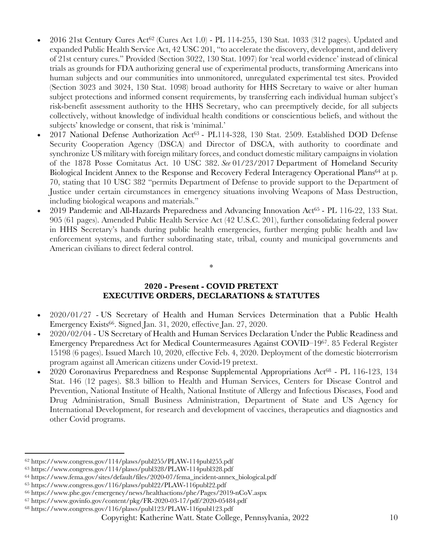- 2016 21st Century Cures Act62 (Cures Act 1.0) PL 114-255, 130 Stat. 1033 (312 pages). Updated and expanded Public Health Service Act, 42 USC 201, "to accelerate the discovery, development, and delivery of 21st century cures." Provided (Section 3022, 130 Stat. 1097) for 'real world evidence' instead of clinical trials as grounds for FDA authorizing general use of experimental products, transforming Americans into human subjects and our communities into unmonitored, unregulated experimental test sites. Provided (Section 3023 and 3024, 130 Stat. 1098) broad authority for HHS Secretary to waive or alter human subject protections and informed consent requirements, by transferring each individual human subject's risk-benefit assessment authority to the HHS Secretary, who can preemptively decide, for all subjects collectively, without knowledge of individual health conditions or conscientious beliefs, and without the subjects' knowledge or consent, that risk is 'minimal.'
- 2017 National Defense Authorization Act63 PL114-328, 130 Stat. 2509. Established DOD Defense Security Cooperation Agency (DSCA) and Director of DSCA, with authority to coordinate and synchronize US military with foreign military forces, and conduct domestic military campaigns in violation of the 1878 Posse Comitatus Act. 10 USC 382. *See* 01/23/2017 Department of Homeland Security Biological Incident Annex to the Response and Recovery Federal Interagency Operational Plans<sup>64</sup> at p. 70, stating that 10 USC 382 "permits Department of Defense to provide support to the Department of Justice under certain circumstances in emergency situations involving Weapons of Mass Destruction, including biological weapons and materials."
- 2019 Pandemic and All-Hazards Preparedness and Advancing Innovation Act<sup>65</sup> PL 116-22, 133 Stat. 905 (61 pages). Amended Public Health Service Act (42 U.S.C. 201), further consolidating federal power in HHS Secretary's hands during public health emergencies, further merging public health and law enforcement systems, and further subordinating state, tribal, county and municipal governments and American civilians to direct federal control.

## **2020 - Present - COVID PRETEXT EXECUTIVE ORDERS, DECLARATIONS & STATUTES**

\*

- 2020/01/27 US Secretary of Health and Human Services Determination that a Public Health Emergency Exists<sup>66</sup>. Signed Jan. 31, 2020, effective Jan. 27, 2020.
- 2020/02/04 US Secretary of Health and Human Services Declaration Under the Public Readiness and Emergency Preparedness Act for Medical Countermeasures Against COVID–1967. 85 Federal Register 15198 (6 pages). Issued March 10, 2020, effective Feb. 4, 2020. Deployment of the domestic bioterrorism program against all American citizens under Covid-19 pretext.
- 2020 Coronavirus Preparedness and Response Supplemental Appropriations Act68 PL 116-123, 134 Stat. 146 (12 pages). \$8.3 billion to Health and Human Services, Centers for Disease Control and Prevention, National Institute of Health, National Institute of Allergy and Infectious Diseases, Food and Drug Administration, Small Business Administration, Department of State and US Agency for International Development, for research and development of vaccines, therapeutics and diagnostics and other Covid programs.

<sup>62</sup> https://www.congress.gov/114/plaws/publ255/PLAW-114publ255.pdf

<sup>63</sup> https://www.congress.gov/114/plaws/publ328/PLAW-114publ328.pdf

<sup>64</sup> https://www.fema.gov/sites/default/files/2020-07/fema\_incident-annex\_biological.pdf

<sup>65</sup> https://www.congress.gov/116/plaws/publ22/PLAW-116publ22.pdf

<sup>66</sup> https://www.phe.gov/emergency/news/healthactions/phe/Pages/2019-nCoV.aspx

<sup>67</sup> https://www.govinfo.gov/content/pkg/FR-2020-03-17/pdf/2020-05484.pdf

<sup>68</sup> https://www.congress.gov/116/plaws/publ123/PLAW-116publ123.pdf

Copyright: Katherine Watt. State College, Pennsylvania, 2022 10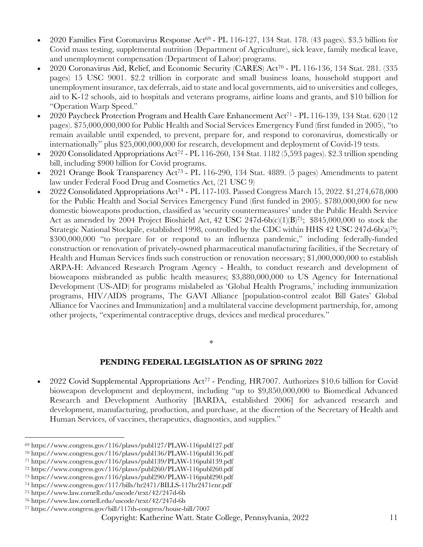- 2020 Families First Coronavirus Response Act69 PL 116-127, 134 Stat. 178. (43 pages). \$3.5 billion for Covid mass testing, supplemental nutrition (Department of Agriculture), sick leave, family medical leave, and unemployment compensation (Department of Labor) programs.
- 2020 Coronavirus Aid, Relief, and Economic Security (CARES) Act70 PL 116-136, 134 Stat. 281. (335 pages) 15 USC 9001. \$2.2 trillion in corporate and small business loans, household stupport and unemployment insurance, tax deferrals, aid to state and local governments, aid to universities and colleges, aid to K-12 schools, aid to hospitals and veterans programs, airline loans and grants, and \$10 billion for "Operation Warp Speed."
- 2020 Paycheck Protection Program and Health Care Enhancement Act71 PL 116-139, 134 Stat. 620 (12 pages). \$75,000,000,000 for Public Health and Social Services Emergency Fund (first funded in 2005), "to remain available until expended, to prevent, prepare for, and respond to coronavirus, domestically or internationally" plus \$25,000,000,000 for research, development and deployment of Covid-19 tests.
- 2020 Consolidated Appropriations Act72 PL 116-260, 134 Stat. 1182 (5,593 pages). \$2.3 trillion spending bill, including \$900 billion for Covid programs.
- 2021 Orange Book Transparency Act73 PL 116-290, 134 Stat. 4889. (5 pages) Amendments to patent law under Federal Food Drug and Cosmetics Act, (21 USC 9)
- 2022 Consolidated Appropriations Act74 PL 117-103. Passed Congress March 15, 2022. \$1,274,678,000 for the Public Health and Social Services Emergency Fund (first funded in 2005). \$780,000,000 for new domestic bioweapons production, classified as 'security countermeasures' under the Public Health Service Act as amended by 2004 Project Bioshield Act, 42 USC 247d-6b(c)(1)(B)<sup>75</sup>; \$845,000,000 to stock the Strategic National Stockpile, established 1998, controlled by the CDC within HHS 42 USC 247d-6b(a)<sup>76</sup>; \$300,000,000 "to prepare for or respond to an influenza pandemic," including federally-funded construction or renovation of privately-owned pharmaceutical manufacturing facilities, if the Secretary of Health and Human Services finds such construction or renovation necessary; \$1,000,000,000 to establish ARPA-H: Advanced Research Program Agency - Health, to conduct research and development of bioweapons misbranded as public health measures; \$3,880,000,000 to US Agency for International Development (US-AID) for programs mislabeled as 'Global Health Programs,' including immunization programs, HIV/AIDS programs, The GAVI Alliance [population-control zealot Bill Gates' Global Alliance for Vaccines and Immunization] and a multilateral vaccine development partnership, for, among other projects, "experimental contraceptive drugs, devices and medical procedures."

### \*

## **PENDING FEDERAL LEGISLATION AS OF SPRING 2022**

• 2022 Covid Supplemental Appropriations Act77 - Pending, HR7007. Authorizes \$10.6 billion for Covid bioweapon development and deployment, including "up to \$9,850,000,000 to Biomedical Advanced Research and Development Authority [BARDA, established 2006] for advanced research and development, manufacturing, production, and purchase, at the discretion of the Secretary of Health and Human Services, of vaccines, therapeutics, diagnostics, and supplies."

<sup>69</sup> https://www.congress.gov/116/plaws/publ127/PLAW-116publ127.pdf

<sup>70</sup> https://www.congress.gov/116/plaws/publ136/PLAW-116publ136.pdf

<sup>71</sup> https://www.congress.gov/116/plaws/publ139/PLAW-116publ139.pdf

<sup>72</sup> https://www.congress.gov/116/plaws/publ260/PLAW-116publ260.pdf

<sup>73</sup> https://www.congress.gov/116/plaws/publ290/PLAW-116publ290.pdf

<sup>74</sup> https://www.congress.gov/117/bills/hr2471/BILLS-117hr2471enr.pdf

<sup>75</sup> https://www.law.cornell.edu/uscode/text/42/247d-6b

<sup>76</sup> https://www.law.cornell.edu/uscode/text/42/247d-6b

<sup>77</sup> https://www.congress.gov/bill/117th-congress/house-bill/7007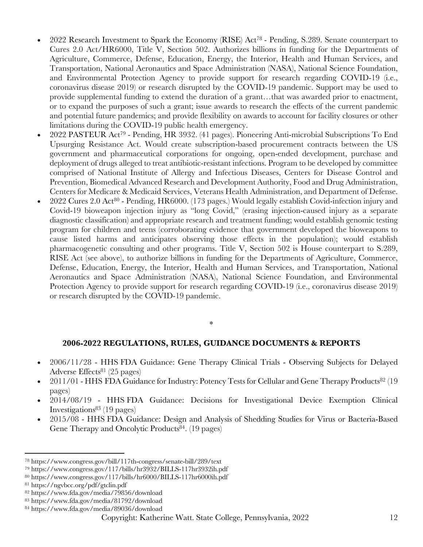- 2022 Research Investment to Spark the Economy (RISE) Act78 Pending, S.289. Senate counterpart to Cures 2.0 Act/HR6000, Title V, Section 502. Authorizes billions in funding for the Departments of Agriculture, Commerce, Defense, Education, Energy, the Interior, Health and Human Services, and Transportation, National Aeronautics and Space Administration (NASA), National Science Foundation, and Environmental Protection Agency to provide support for research regarding COVID-19 (i.e., coronavirus disease 2019) or research disrupted by the COVID-19 pandemic. Support may be used to provide supplemental funding to extend the duration of a grant…that was awarded prior to enactment, or to expand the purposes of such a grant; issue awards to research the effects of the current pandemic and potential future pandemics; and provide flexibility on awards to account for facility closures or other limitations during the COVID-19 public health emergency.
- 2022 PASTEUR Act79 Pending, HR 3932. (41 pages). Pioneering Anti-microbial Subscriptions To End Upsurging Resistance Act. Would create subscription-based procurement contracts between the US government and pharmaceutical corporations for ongoing, open-ended development, purchase and deployment of drugs alleged to treat antibiotic-resistant infections. Program to be developed by committee comprised of National Institute of Allergy and Infectious Diseases, Centers for Disease Control and Prevention, Biomedical Advanced Research and Development Authority, Food and Drug Administration, Centers for Medicare & Medicaid Services, Veterans Health Administration, and Department of Defense.
- 2022 Cures 2.0 Act<sup>80</sup> Pending, HR6000. (173 pages.) Would legally establish Covid-infection injury and Covid-19 bioweapon injection injury as "long Covid," (erasing injection-caused injury as a separate diagnostic classification) and appropriate research and treatment funding; would establish genomic testing program for children and teens (corroborating evidence that government developed the bioweapons to cause listed harms and anticipates observing those effects in the population); would establish pharmacogenetic consulting and other programs. Title V, Section 502 is House counterpart to S.289, RISE Act (see above), to authorize billions in funding for the Departments of Agriculture, Commerce, Defense, Education, Energy, the Interior, Health and Human Services, and Transportation, National Aeronautics and Space Administration (NASA), National Science Foundation, and Environmental Protection Agency to provide support for research regarding COVID-19 (i.e., coronavirus disease 2019) or research disrupted by the COVID-19 pandemic.

#### \*

### **2006-2022 REGULATIONS, RULES, GUIDANCE DOCUMENTS & REPORTS**

- 2006/11/28 HHS FDA Guidance: Gene Therapy Clinical Trials Observing Subjects for Delayed Adverse Effects81 (25 pages)
- 2011/01 HHS FDA Guidance for Industry: Potency Tests for Cellular and Gene Therapy Products82 (19 pages)
- 2014/08/19 HHS FDA Guidance: Decisions for Investigational Device Exemption Clinical Investigations<sup>83</sup> (19 pages)
- 2015/08 HHS FDA Guidance: Design and Analysis of Shedding Studies for Virus or Bacteria-Based Gene Therapy and Oncolytic Products<sup>84</sup>. (19 pages)

<sup>78</sup> https://www.congress.gov/bill/117th-congress/senate-bill/289/text

<sup>79</sup> https://www.congress.gov/117/bills/hr3932/BILLS-117hr3932ih.pdf

<sup>80</sup> https://www.congress.gov/117/bills/hr6000/BILLS-117hr6000ih.pdf

<sup>81</sup> https://ngvbcc.org/pdf/gtclin.pdf

<sup>82</sup> https://www.fda.gov/media/79856/download

<sup>83</sup> https://www.fda.gov/media/81792/download

<sup>84</sup> https://www.fda.gov/media/89036/download

Copyright: Katherine Watt. State College, Pennsylvania, 2022 12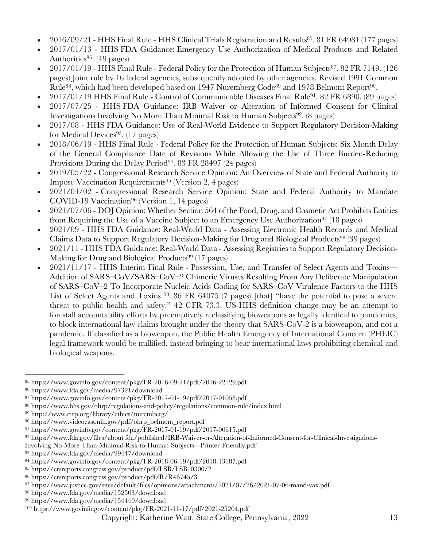- 2016/09/21 HHS Final Rule HHS Clinical Trials Registration and Results<sup>85</sup>. 81 FR 64981 (177 pages)
- 2017/01/13 HHS FDA Guidance: Emergency Use Authorization of Medical Products and Related Authorities $86.$  (49 pages)
- 2017/01/19 HHS Final Rule Federal Policy for the Protection of Human Subjects87. 82 FR 7149. (126 pages) Joint rule by 16 federal agencies, subsequently adopted by other agencies. Revised 1991 Common Rule<sup>88</sup>, which had been developed based on 1947 Nuremberg Code<sup>89</sup> and 1978 Belmont Report<sup>90</sup>.
- 2017/01/19 HHS Final Rule Control of Communicable Diseases Final Rule91. 82 FR 6890. (89 pages)
- 2017/07/25 HHS FDA Guidance: IRB Waiver or Alteration of Informed Consent for Clinical Investigations Involving No More Than Minimal Risk to Human Subjects92. (8 pages)
- 2017/08 HHS FDA Guidance: Use of Real-World Evidence to Support Regulatory Decision-Making for Medical Devices<sup>93</sup>. (17 pages)
- 2018/06/19 HHS Final Rule Federal Policy for the Protection of Human Subjects: Six Month Delay of the General Compliance Date of Revisions While Allowing the Use of Three Burden-Reducing Provisions During the Delay Period<sup>94</sup>. 83 FR 28497 (24 pages)
- 2019/05/22 Congressional Research Service Opinion: An Overview of State and Federal Authority to Impose Vaccination Requirements95 (Version 2, 4 pages)
- 2021/04/02 Congressional Research Service Opinion: State and Federal Authority to Mandate COVID-19 Vaccination96 (Version 1, 14 pages)
- 2021/07/06 DOJ Opinion: Whether Section 564 of the Food, Drug, and Cosmetic Act Prohibits Entities from Requiring the Use of a Vaccine Subject to an Emergency Use Authorization<sup>97</sup> (18 pages)
- 2021/09 HHS FDA Guidance: Real-World Data Assessing Electronic Health Records and Medical Claims Data to Support Regulatory Decision-Making for Drug and Biological Products98 (39 pages)
- 2021/11 HHS FDA Guidance: Real-World Data Assessing Registries to Support Regulatory Decision-Making for Drug and Biological Products<sup>99</sup> (17 pages)
- 2021/11/17 HHS Interim Final Rule Possession, Use, and Transfer of Select Agents and Toxins— Addition of SARS–CoV/SARS–CoV–2 Chimeric Viruses Resulting From Any Deliberate Manipulation of SARS–CoV–2 To Incorporate Nucleic Acids Coding for SARS–CoV Virulence Factors to the HHS List of Select Agents and Toxins<sup>100</sup>. 86 FR 64075 (7 pages) [that] "have the potential to pose a severe threat to public health and safety." 42 CFR 73.3. US-HHS definition change may be an attempt to forestall accountability efforts by preemptively reclassifying bioweapons as legally identical to pandemics, to block international law claims brought under the theory that SARS-CoV-2 is a bioweapon, and not a pandemic. If classified as a bioweapon, the Public Health Emergency of International Concern (PHEIC) legal framework would be nullified, instead bringing to bear international laws prohibiting chemical and biological weapons.

Involving-No-More-Than-Minimal-Risk-to-Human-Subjects---Printer-Friendly.pdf

<sup>93</sup> https://www.fda.gov/media/99447/download

<sup>85</sup> https://www.govinfo.gov/content/pkg/FR-2016-09-21/pdf/2016-22129.pdf

<sup>86</sup> https://www.fda.gov/media/97321/download

<sup>87</sup> https://www.govinfo.gov/content/pkg/FR-2017-01-19/pdf/2017-01058.pdf

<sup>88</sup> https://www.hhs.gov/ohrp/regulations-and-policy/regulations/common-rule/index.html

<sup>89</sup> http://www.cirp.org/library/ethics/nuremberg/

<sup>90</sup> https://www.videocast.nih.gov/pdf/ohrp\_belmont\_report.pdf

<sup>91</sup> https://www.govinfo.gov/content/pkg/FR-2017-01-19/pdf/2017-00615.pdf

<sup>92</sup> https://www.fda.gov/files/about fda/published/IRB-Waiver-or-Alteration-of-Informed-Consent-for-Clinical-Investigations-

<sup>94</sup> https://www.govinfo.gov/content/pkg/FR-2018-06-19/pdf/2018-13187.pdf

<sup>95</sup> https://crsreports.congress.gov/product/pdf/LSB/LSB10300/2

<sup>96</sup> https://crsreports.congress.gov/product/pdf/R/R46745/3

<sup>97</sup> https://www.justice.gov/sites/default/files/opinions/attachments/2021/07/26/2021-07-06-mand-vax.pdf

<sup>98</sup> https://www.fda.gov/media/152503/download

<sup>99</sup> https://www.fda.gov/media/154449/download

<sup>100</sup> https://www.govinfo.gov/content/pkg/FR-2021-11-17/pdf/2021-25204.pdf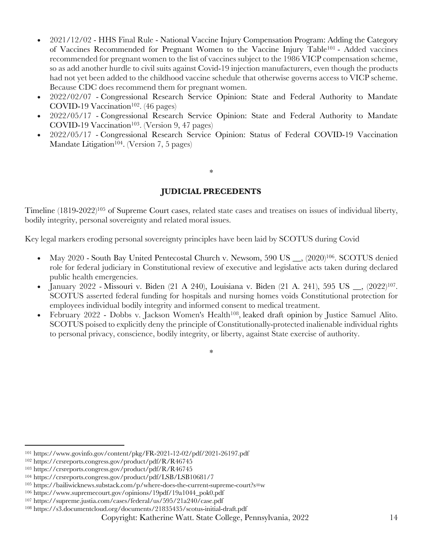- 2021/12/02 HHS Final Rule National Vaccine Injury Compensation Program: Adding the Category of Vaccines Recommended for Pregnant Women to the Vaccine Injury Table101 - Added vaccines recommended for pregnant women to the list of vaccines subject to the 1986 VICP compensation scheme, so as add another hurdle to civil suits against Covid-19 injection manufacturers, even though the products had not yet been added to the childhood vaccine schedule that otherwise governs access to VICP scheme. Because CDC does recommend them for pregnant women.
- 2022/02/07 Congressional Research Service Opinion: State and Federal Authority to Mandate COVID-19 Vaccination<sup>102</sup>. (46 pages)
- 2022/05/17 Congressional Research Service Opinion: State and Federal Authority to Mandate  $COVID-19$  Vaccination<sup>103</sup>. (Version 9, 47 pages)
- 2022/05/17 Congressional Research Service Opinion: Status of Federal COVID-19 Vaccination Mandate Litigation<sup>104</sup>. (Version 7, 5 pages)

# **JUDICIAL PRECEDENTS**

\*

Timeline (1819-2022)105 of Supreme Court cases, related state cases and treatises on issues of individual liberty, bodily integrity, personal sovereignty and related moral issues.

Key legal markers eroding personal sovereignty principles have been laid by SCOTUS during Covid

- May 2020 South Bay United Pentecostal Church v. Newsom, 590 US <sub>.</sub>, (2020)<sup>106</sup>. SCOTUS denied role for federal judiciary in Constitutional review of executive and legislative acts taken during declared public health emergencies.
- January 2022 Missouri v. Biden (21 A 240), Louisiana v. Biden (21 A. 241), 595 US \_\_, (2022)107. SCOTUS asserted federal funding for hospitals and nursing homes voids Constitutional protection for employees individual bodily integrity and informed consent to medical treatment.
- February 2022 Dobbs v. Jackson Women's Health<sup>108</sup>, leaked draft opinion by Justice Samuel Alito. SCOTUS poised to explicitly deny the principle of Constitutionally-protected inalienable individual rights to personal privacy, conscience, bodily integrity, or liberty, against State exercise of authority.

<sup>\*</sup>

<sup>101</sup> https://www.govinfo.gov/content/pkg/FR-2021-12-02/pdf/2021-26197.pdf

<sup>102</sup> https://crsreports.congress.gov/product/pdf/R/R46745

<sup>103</sup> https://crsreports.congress.gov/product/pdf/R/R46745

<sup>104</sup> https://crsreports.congress.gov/product/pdf/LSB/LSB10681/7

<sup>105</sup> https://bailiwicknews.substack.com/p/where-does-the-current-supreme-court?s=w

<sup>106</sup> https://www.supremecourt.gov/opinions/19pdf/19a1044\_pok0.pdf

<sup>107</sup> https://supreme.justia.com/cases/federal/us/595/21a240/case.pdf

<sup>108</sup> https://s3.documentcloud.org/documents/21835435/scotus-initial-draft.pdf

Copyright: Katherine Watt. State College, Pennsylvania, 2022 14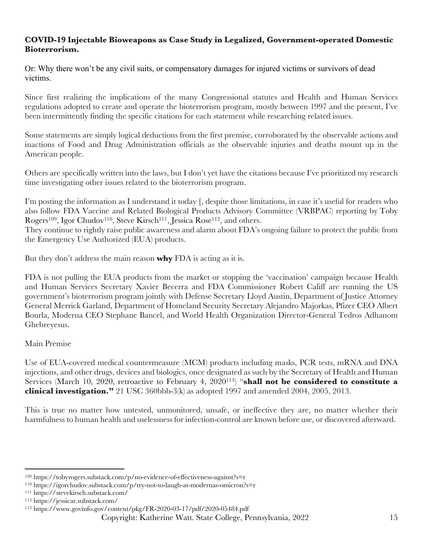## **COVID-19 Injectable Bioweapons as Case Study in Legalized, Government-operated Domestic Bioterrorism.**

Or: Why there won't be any civil suits, or compensatory damages for injured victims or survivors of dead victims.

Since first realizing the implications of the many Congressional statutes and Health and Human Services regulations adopted to create and operate the bioterrorism program, mostly between 1997 and the present, I've been intermittently finding the specific citations for each statement while researching related issues.

Some statements are simply logical deductions from the first premise, corroborated by the observable actions and inactions of Food and Drug Administration officials as the observable injuries and deaths mount up in the American people.

Others are specifically written into the laws, but I don't yet have the citations because I've prioritized my research time investigating other issues related to the bioterrorism program.

I'm posting the information as I understand it today [, despite those limitations, in case it's useful for readers who also follow FDA Vaccine and Related Biological Products Advisory Committee (VRBPAC) reporting by Toby Rogers<sup>109</sup>, Igor Chudov<sup>110</sup>, Steve Kirsch<sup>111</sup>, Jessica Rose<sup>112</sup>, and others.

They continue to rightly raise public awareness and alarm about FDA's ongoing failure to protect the public from the Emergency Use Authorized (EUA) products.

But they don't address the main reason **why** FDA is acting as it is.

FDA is not pulling the EUA products from the market or stopping the 'vaccination' campaign because Health and Human Services Secretary Xavier Becerra and FDA Commissioner Robert Califf are running the US government's bioterrorism program jointly with Defense Secretary Lloyd Austin, Department of Justice Attorney General Merrick Garland, Department of Homeland Security Secretary Alejandro Majorkas, Pfizer CEO Albert Bourla, Moderna CEO Stephane Bancel, and World Health Organization Director-General Tedros Adhanom Ghebreyesus.

# Main Premise

Use of EUA-covered medical countermeasure (MCM) products including masks, PCR tests, mRNA and DNA injections, and other drugs, devices and biologics, once designated as such by the Secretary of Health and Human Services (March 10, 2020, retroactive to February 4, 2020113) "**shall not be considered to constitute a clinical investigation."** 21 USC 360bbb-3(k) as adopted 1997 and amended 2004, 2005, 2013.

This is true no matter how untested, unmonitored, unsafe, or ineffective they are, no matter whether their harmfulness to human health and uselessness for infection-control are known before use, or discovered afterward.

<sup>109</sup> https://tobyrogers.substack.com/p/no-evidence-of-effectiveness-against?s=r

<sup>110</sup> https://igorchudov.substack.com/p/try-not-to-laugh-at-modernas-omicron?s=r

<sup>111</sup> https://stevekirsch.substack.com/

<sup>112</sup> https://jessicar.substack.com/

<sup>113</sup> https://www.govinfo.gov/content/pkg/FR-2020-03-17/pdf/2020-05484.pdf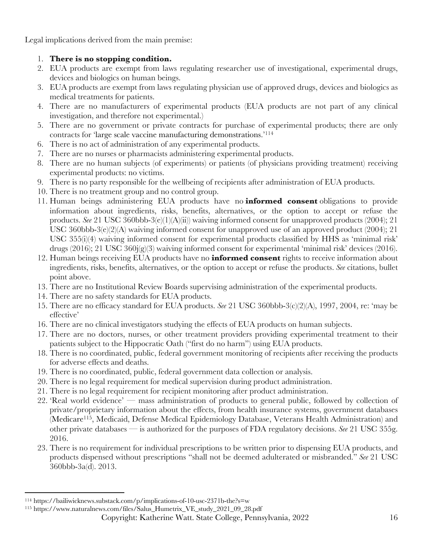Legal implications derived from the main premise:

# 1. **There is no stopping condition.**

- 2. EUA products are exempt from laws regulating researcher use of investigational, experimental drugs, devices and biologics on human beings.
- 3. EUA products are exempt from laws regulating physician use of approved drugs, devices and biologics as medical treatments for patients.
- 4. There are no manufacturers of experimental products (EUA products are not part of any clinical investigation, and therefore not experimental.)
- 5. There are no government or private contracts for purchase of experimental products; there are only contracts for 'large scale vaccine manufacturing demonstrations.'114
- 6. There is no act of administration of any experimental products.
- 7. There are no nurses or pharmacists administering experimental products.
- 8. There are no human subjects (of experiments) or patients (of physicians providing treatment) receiving experimental products: no victims.
- 9. There is no party responsible for the wellbeing of recipients after administration of EUA products.
- 10. There is no treatment group and no control group.
- 11. Human beings administering EUA products have no **informed consent** obligations to provide information about ingredients, risks, benefits, alternatives, or the option to accept or refuse the products. *See* 21 USC 360bbb-3(e)(1)(A)(ii)) waiving informed consent for unapproved products (2004); 21 USC 360bbb-3(e)(2)(A) waiving informed consent for unapproved use of an approved product (2004); 21 USC 355(i)(4) waiving informed consent for experimental products classified by HHS as 'minimal risk' drugs (2016); 21 USC 360j(g)(3) waiving informed consent for experimental 'minimal risk' devices (2016).
- 12. Human beings receiving EUA products have no **informed consent** rights to receive information about ingredients, risks, benefits, alternatives, or the option to accept or refuse the products. *See* citations, bullet point above.
- 13. There are no Institutional Review Boards supervising administration of the experimental products.
- 14. There are no safety standards for EUA products.
- 15. There are no efficacy standard for EUA products. *See* 21 USC 360bbb-3(c)(2)(A), 1997, 2004, re: 'may be effective'
- 16. There are no clinical investigators studying the effects of EUA products on human subjects.
- 17. There are no doctors, nurses, or other treatment providers providing experimental treatment to their patients subject to the Hippocratic Oath ("first do no harm") using EUA products.
- 18. There is no coordinated, public, federal government monitoring of recipients after receiving the products for adverse effects and deaths.
- 19. There is no coordinated, public, federal government data collection or analysis.
- 20. There is no legal requirement for medical supervision during product administration.
- 21. There is no legal requirement for recipient monitoring after product administration.
- 22. 'Real world evidence' mass administration of products to general public, followed by collection of private/proprietary information about the effects, from health insurance systems, government databases (Medicare115, Medicaid, Defense Medical Epidemiology Database, Veterans Health Administration) and other private databases — is authorized for the purposes of FDA regulatory decisions. *See* 21 USC 355g. 2016.
- 23. There is no requirement for individual prescriptions to be written prior to dispensing EUA products, and products dispensed without prescriptions "shall not be deemed adulterated or misbranded." *See* 21 USC 360bbb-3a(d). 2013.

<sup>114</sup> https://bailiwicknews.substack.com/p/implications-of-10-usc-2371b-the?s=w

<sup>115</sup> https://www.naturalnews.com/files/Salus\_Humetrix\_VE\_study\_2021\_09\_28.pdf

Copyright: Katherine Watt. State College, Pennsylvania, 2022 16